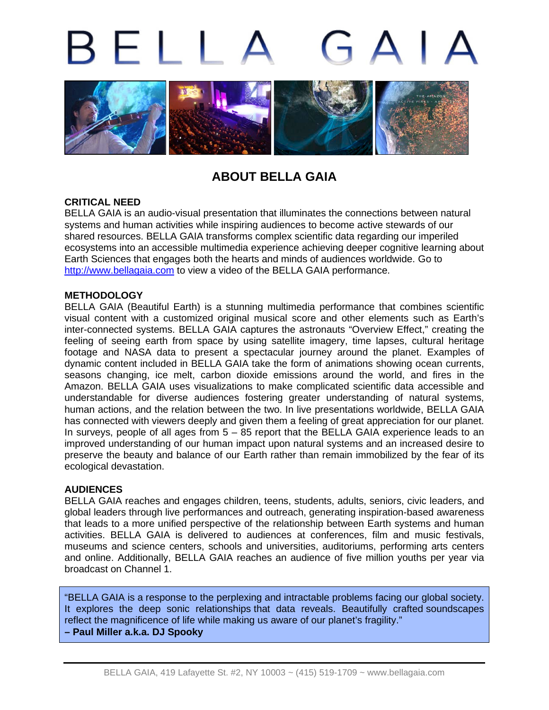# BELL



# **ABOUT BELLA GAIA**

# **CRITICAL NEED**

BELLA GAIA is an audio-visual presentation that illuminates the connections between natural systems and human activities while inspiring audiences to become active stewards of our shared resources. BELLA GAIA transforms complex scientific data regarding our imperiled ecosystems into an accessible multimedia experience achieving deeper cognitive learning about Earth Sciences that engages both the hearts and minds of audiences worldwide. Go to [http://www.bellagaia.com](http://www.bellagaia.com/) to view a video of the BELLA GAIA performance.

#### **METHODOLOGY**

BELLA GAIA (Beautiful Earth) is a stunning multimedia performance that combines scientific visual content with a customized original musical score and other elements such as Earth's inter-connected systems. BELLA GAIA captures the astronauts "Overview Effect," creating the feeling of seeing earth from space by using satellite imagery, time lapses, cultural heritage footage and NASA data to present a spectacular journey around the planet. Examples of dynamic content included in BELLA GAIA take the form of animations showing ocean currents, seasons changing, ice melt, carbon dioxide emissions around the world, and fires in the Amazon. BELLA GAIA uses visualizations to make complicated scientific data accessible and understandable for diverse audiences fostering greater understanding of natural systems, human actions, and the relation between the two. In live presentations worldwide, BELLA GAIA has connected with viewers deeply and given them a feeling of great appreciation for our planet. In surveys, people of all ages from 5 – 85 report that the BELLA GAIA experience leads to an improved understanding of our human impact upon natural systems and an increased desire to preserve the beauty and balance of our Earth rather than remain immobilized by the fear of its ecological devastation.

# **AUDIENCES**

BELLA GAIA reaches and engages children, teens, students, adults, seniors, civic leaders, and global leaders through live performances and outreach, generating inspiration-based awareness that leads to a more unified perspective of the relationship between Earth systems and human activities. BELLA GAIA is delivered to audiences at conferences, film and music festivals, museums and science centers, schools and universities, auditoriums, performing arts centers and online. Additionally, BELLA GAIA reaches an audience of five million youths per year via broadcast on Channel 1.

"BELLA GAIA is a response to the perplexing and intractable problems facing our global society. It explores the deep sonic relationships that data reveals. Beautifully crafted soundscapes reflect the magnificence of life while making us aware of our planet's fragility." **– Paul Miller a.k.a. DJ Spooky**